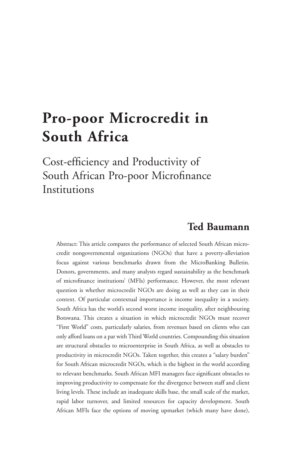# **Pro-poor Microcredit in South Africa**

Cost-efficiency and Productivity of South African Pro-poor Microfinance Institutions

# **Ted Baumann**

Abstract: This article compares the performance of selected South African microcredit nongovernmental organizations (NGOs) that have a poverty-alleviation focus against various benchmarks drawn from the MicroBanking Bulletin. Donors, governments, and many analysts regard sustainability as the benchmark of microfinance institutions' (MFIs) performance. However, the most relevant question is whether microcredit NGOs are doing as well as they can in their context. Of particular contextual importance is income inequality in a society. South Africa has the world's second worst income inequality, after neighbouring Botswana. This creates a situation in which microcredit NGOs must recover "First World" costs, particularly salaries, from revenues based on clients who can only afford loans on a par with Third World countries. Compounding this situation are structural obstacles to microenterprise in South Africa, as well as obstacles to productivity in microcredit NGOs. Taken together, this creates a "salary burden" for South African microcredit NGOs, which is the highest in the world according to relevant benchmarks. South African MFI managers face significant obstacles to improving productivity to compensate for the divergence between staff and client living levels. These include an inadequate skills base, the small scale of the market, rapid labor turnover, and limited resources for capacity development. South African MFIs face the options of moving upmarket (which many have done),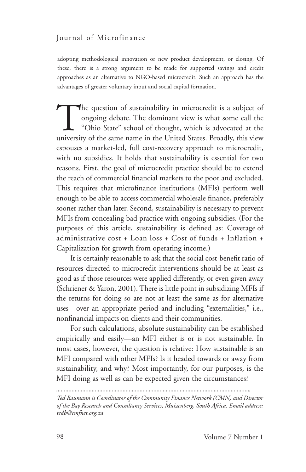adopting methodological innovation or new product development, or closing. Of these, there is a strong argument to be made for supported savings and credit approaches as an alternative to NGO-based microcredit. Such an approach has the advantages of greater voluntary input and social capital formation.

The question of sustainability in microcredit is a subject of ongoing debate. The dominant view is what some call the "Ohio State" school of thought, which is advocated at the university of the same name in the United States. Broadly, this view espouses a market-led, full cost-recovery approach to microcredit, with no subsidies. It holds that sustainability is essential for two reasons. First, the goal of microcredit practice should be to extend the reach of commercial financial markets to the poor and excluded. This requires that microfinance institutions (MFIs) perform well enough to be able to access commercial wholesale finance, preferably sooner rather than later. Second, sustainability is necessary to prevent MFIs from concealing bad practice with ongoing subsidies. (For the purposes of this article, sustainability is defined as: Coverage of administrative cost + Loan loss + Cost of funds + Inflation + Capitalization for growth from operating income.)

It is certainly reasonable to ask that the social cost-benefit ratio of resources directed to microcredit interventions should be at least as good as if those resources were applied differently, or even given away (Schriener & Yaron, 2001). There is little point in subsidizing MFIs if the returns for doing so are not at least the same as for alternative uses—over an appropriate period and including "externalities," i.e., nonfinancial impacts on clients and their communities.

For such calculations, absolute sustainability can be established empirically and easily—an MFI either is or is not sustainable. In most cases, however, the question is relative: How sustainable is an MFI compared with other MFIs? Is it headed towards or away from sustainability, and why? Most importantly, for our purposes, is the MFI doing as well as can be expected given the circumstances?

*Ted Baumann is Coordinator of the Community Finance Network (CMN) and Director of the Bay Research and Consultancy Services, Muizenberg, South Africa. Email address: tedb@cmfnet.org.za*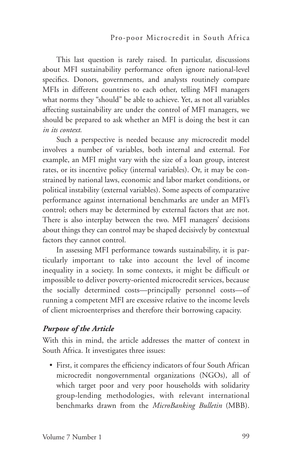This last question is rarely raised. In particular, discussions about MFI sustainability performance often ignore national-level specifics. Donors, governments, and analysts routinely compare MFIs in different countries to each other, telling MFI managers what norms they "should" be able to achieve. Yet, as not all variables affecting sustainability are under the control of MFI managers, we should be prepared to ask whether an MFI is doing the best it can *in its context.*

Such a perspective is needed because any microcredit model involves a number of variables, both internal and external. For example, an MFI might vary with the size of a loan group, interest rates, or its incentive policy (internal variables). Or, it may be constrained by national laws, economic and labor market conditions, or political instability (external variables). Some aspects of comparative performance against international benchmarks are under an MFI's control; others may be determined by external factors that are not. There is also interplay between the two. MFI managers' decisions about things they can control may be shaped decisively by contextual factors they cannot control.

In assessing MFI performance towards sustainability, it is particularly important to take into account the level of income inequality in a society. In some contexts, it might be difficult or impossible to deliver poverty-oriented microcredit services, because the socially determined costs—principally personnel costs—of running a competent MFI are excessive relative to the income levels of client microenterprises and therefore their borrowing capacity.

### *Purpose of the Article*

With this in mind, the article addresses the matter of context in South Africa. It investigates three issues:

• First, it compares the efficiency indicators of four South African microcredit nongovernmental organizations (NGOs), all of which target poor and very poor households with solidarity group-lending methodologies, with relevant international benchmarks drawn from the *MicroBanking Bulletin* (MBB).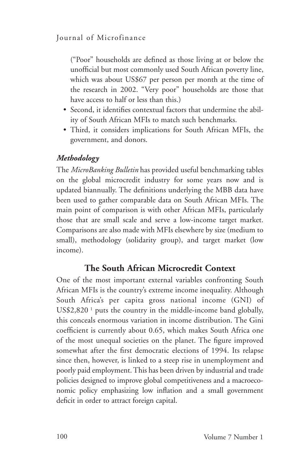("Poor" households are defined as those living at or below the unofficial but most commonly used South African poverty line, which was about US\$67 per person per month at the time of the research in 2002. "Very poor" households are those that have access to half or less than this.)

- Second, it identifies contextual factors that undermine the ability of South African MFIs to match such benchmarks.
- Third, it considers implications for South African MFIs, the government, and donors.

# *Methodology*

The *MicroBanking Bulletin* has provided useful benchmarking tables on the global microcredit industry for some years now and is updated biannually. The definitions underlying the MBB data have been used to gather comparable data on South African MFIs. The main point of comparison is with other African MFIs, particularly those that are small scale and serve a low-income target market. Comparisons are also made with MFIs elsewhere by size (medium to small), methodology (solidarity group), and target market (low income).

# **The South African Microcredit Context**

One of the most important external variables confronting South African MFIs is the country's extreme income inequality. Although South Africa's per capita gross national income (GNI) of US\$2,820<sup>1</sup> puts the country in the middle-income band globally, this conceals enormous variation in income distribution. The Gini coefficient is currently about 0.65, which makes South Africa one of the most unequal societies on the planet. The figure improved somewhat after the first democratic elections of 1994. Its relapse since then, however, is linked to a steep rise in unemployment and poorly paid employment. This has been driven by industrial and trade policies designed to improve global competitiveness and a macroeconomic policy emphasizing low inflation and a small government deficit in order to attract foreign capital.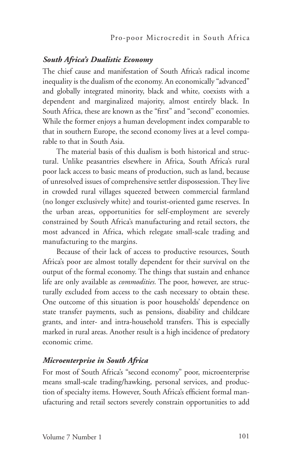#### *South Africa's Dualistic Economy*

The chief cause and manifestation of South Africa's radical income inequality is the dualism of the economy. An economically "advanced" and globally integrated minority, black and white, coexists with a dependent and marginalized majority, almost entirely black. In South Africa, these are known as the "first" and "second" economies. While the former enjoys a human development index comparable to that in southern Europe, the second economy lives at a level comparable to that in South Asia.

The material basis of this dualism is both historical and structural. Unlike peasantries elsewhere in Africa, South Africa's rural poor lack access to basic means of production, such as land, because of unresolved issues of comprehensive settler dispossession. They live in crowded rural villages squeezed between commercial farmland (no longer exclusively white) and tourist-oriented game reserves. In the urban areas, opportunities for self-employment are severely constrained by South Africa's manufacturing and retail sectors, the most advanced in Africa, which relegate small-scale trading and manufacturing to the margins.

Because of their lack of access to productive resources, South Africa's poor are almost totally dependent for their survival on the output of the formal economy. The things that sustain and enhance life are only available as *commodities.* The poor, however, are structurally excluded from access to the cash necessary to obtain these. One outcome of this situation is poor households' dependence on state transfer payments, such as pensions, disability and childcare grants, and inter- and intra-household transfers. This is especially marked in rural areas. Another result is a high incidence of predatory economic crime.

### *Microenterprise in South Africa*

For most of South Africa's "second economy" poor, microenterprise means small-scale trading/hawking, personal services, and production of specialty items. However, South Africa's efficient formal manufacturing and retail sectors severely constrain opportunities to add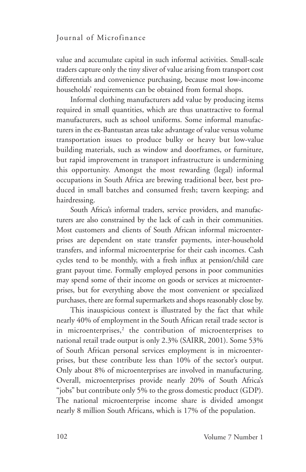value and accumulate capital in such informal activities. Small-scale traders capture only the tiny sliver of value arising from transport cost differentials and convenience purchasing, because most low-income households' requirements can be obtained from formal shops.

Informal clothing manufacturers add value by producing items required in small quantities, which are thus unattractive to formal manufacturers, such as school uniforms. Some informal manufacturers in the ex-Bantustan areas take advantage of value versus volume transportation issues to produce bulky or heavy but low-value building materials, such as window and doorframes, or furniture, but rapid improvement in transport infrastructure is undermining this opportunity. Amongst the most rewarding (legal) informal occupations in South Africa are brewing traditional beer, best produced in small batches and consumed fresh; tavern keeping; and hairdressing.

South Africa's informal traders, service providers, and manufacturers are also constrained by the lack of cash in their communities. Most customers and clients of South African informal microenterprises are dependent on state transfer payments, inter-household transfers, and informal microenterprise for their cash incomes. Cash cycles tend to be monthly, with a fresh influx at pension/child care grant payout time. Formally employed persons in poor communities may spend some of their income on goods or services at microenterprises, but for everything above the most convenient or specialized purchases, there are formal supermarkets and shops reasonably close by.

This inauspicious context is illustrated by the fact that while nearly 40% of employment in the South African retail trade sector is in microenterprises,<sup>2</sup> the contribution of microenterprises to national retail trade output is only 2.3% (SAIRR, 2001). Some 53% of South African personal services employment is in microenterprises, but these contribute less than 10% of the sector's output. Only about 8% of microenterprises are involved in manufacturing. Overall, microenterprises provide nearly 20% of South Africa's "jobs" but contribute only 5% to the gross domestic product (GDP). The national microenterprise income share is divided amongst nearly 8 million South Africans, which is 17% of the population.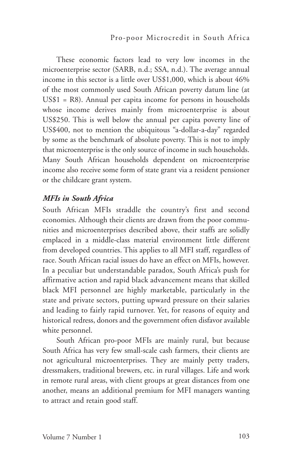These economic factors lead to very low incomes in the microenterprise sector (SARB, n.d.; SSA, n.d.). The average annual income in this sector is a little over US\$1,000, which is about 46% of the most commonly used South African poverty datum line (at US\$1 = R8). Annual per capita income for persons in households whose income derives mainly from microenterprise is about US\$250. This is well below the annual per capita poverty line of US\$400, not to mention the ubiquitous "a-dollar-a-day" regarded by some as the benchmark of absolute poverty. This is not to imply that microenterprise is the only source of income in such households. Many South African households dependent on microenterprise income also receive some form of state grant via a resident pensioner or the childcare grant system.

### *MFIs in South Africa*

South African MFIs straddle the country's first and second economies. Although their clients are drawn from the poor communities and microenterprises described above, their staffs are solidly emplaced in a middle-class material environment little different from developed countries. This applies to all MFI staff, regardless of race. South African racial issues do have an effect on MFIs, however. In a peculiar but understandable paradox, South Africa's push for affirmative action and rapid black advancement means that skilled black MFI personnel are highly marketable, particularly in the state and private sectors, putting upward pressure on their salaries and leading to fairly rapid turnover. Yet, for reasons of equity and historical redress, donors and the government often disfavor available white personnel.

South African pro-poor MFIs are mainly rural, but because South Africa has very few small-scale cash farmers, their clients are not agricultural microenterprises. They are mainly petty traders, dressmakers, traditional brewers, etc. in rural villages. Life and work in remote rural areas, with client groups at great distances from one another, means an additional premium for MFI managers wanting to attract and retain good staff.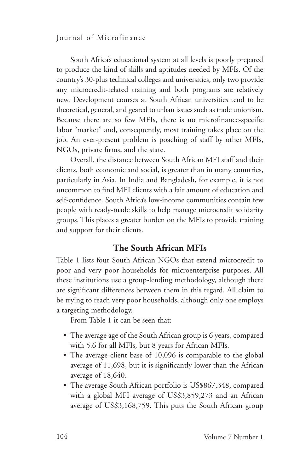South Africa's educational system at all levels is poorly prepared to produce the kind of skills and aptitudes needed by MFIs. Of the country's 30-plus technical colleges and universities, only two provide any microcredit-related training and both programs are relatively new. Development courses at South African universities tend to be theoretical, general, and geared to urban issues such as trade unionism. Because there are so few MFIs, there is no microfinance-specific labor "market" and, consequently, most training takes place on the job. An ever-present problem is poaching of staff by other MFIs, NGOs, private firms, and the state.

Overall, the distance between South African MFI staff and their clients, both economic and social, is greater than in many countries, particularly in Asia. In India and Bangladesh, for example, it is not uncommon to find MFI clients with a fair amount of education and self-confidence. South Africa's low-income communities contain few people with ready-made skills to help manage microcredit solidarity groups. This places a greater burden on the MFIs to provide training and support for their clients.

# **The South African MFIs**

Table 1 lists four South African NGOs that extend microcredit to poor and very poor households for microenterprise purposes. All these institutions use a group-lending methodology, although there are significant differences between them in this regard. All claim to be trying to reach very poor households, although only one employs a targeting methodology.

From Table 1 it can be seen that:

- The average age of the South African group is 6 years, compared with 5.6 for all MFIs, but 8 years for African MFIs.
- The average client base of 10,096 is comparable to the global average of 11,698, but it is significantly lower than the African average of 18,640.
- The average South African portfolio is US\$867,348, compared with a global MFI average of US\$3,859,273 and an African average of US\$3,168,759. This puts the South African group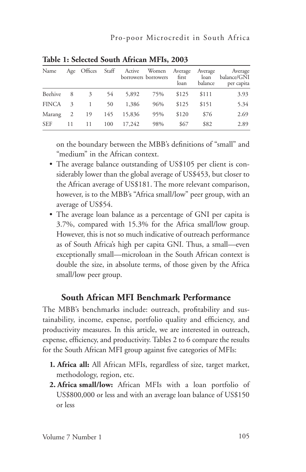| Name         |    | Age Offices | Staff | Active | Women<br>borrowers borrowers | Average<br>first<br>loan | Average<br>loan<br>balance | Average<br>balance/GNI<br>per capita |
|--------------|----|-------------|-------|--------|------------------------------|--------------------------|----------------------------|--------------------------------------|
| Beehive      | 8  | 3           | 54    | 5,892  | 75%                          | \$125                    | \$111                      | 3.93                                 |
| <b>FINCA</b> | 3  |             | 50    | 1,386  | 96%                          | \$125                    | \$151                      | 5.34                                 |
| Marang       |    | 19          | 145   | 15,836 | 95%                          | \$120                    | \$76                       | 2.69                                 |
| <b>SEF</b>   | 11 | 11          | 100   | 17,242 | 98%                          | \$67                     | \$82                       | 2.89                                 |

**Table 1: Selected South African MFIs, 2003**

on the boundary between the MBB's definitions of "small" and "medium" in the African context.

- The average balance outstanding of US\$105 per client is considerably lower than the global average of US\$453, but closer to the African average of US\$181. The more relevant comparison, however, is to the MBB's "Africa small/low" peer group, with an average of US\$54.
- The average loan balance as a percentage of GNI per capita is 3.7%, compared with 15.3% for the Africa small/low group. However, this is not so much indicative of outreach performance as of South Africa's high per capita GNI. Thus, a small—even exceptionally small—microloan in the South African context is double the size, in absolute terms, of those given by the Africa small/low peer group.

# **South African MFI Benchmark Performance**

The MBB's benchmarks include: outreach, profitability and sustainability, income, expense, portfolio quality and efficiency, and productivity measures. In this article, we are interested in outreach, expense, efficiency, and productivity. Tables 2 to 6 compare the results for the South African MFI group against five categories of MFIs:

- **1. Africa all:** All African MFIs, regardless of size, target market, methodology, region, etc.
- **2. Africa small/low:** African MFIs with a loan portfolio of US\$800,000 or less and with an average loan balance of US\$150 or less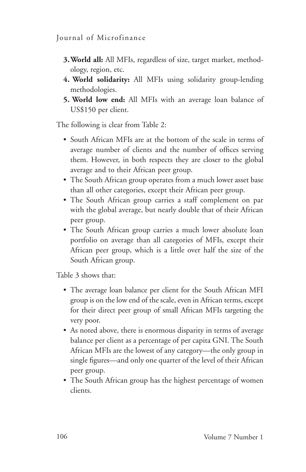- **3.World all:** All MFIs, regardless of size, target market, methodology, region, etc.
- **4. World solidarity:** All MFIs using solidarity group-lending methodologies.
- **5. World low end:** All MFIs with an average loan balance of US\$150 per client.

The following is clear from Table 2:

- South African MFIs are at the bottom of the scale in terms of average number of clients and the number of offices serving them. However, in both respects they are closer to the global average and to their African peer group.
- The South African group operates from a much lower asset base than all other categories, except their African peer group.
- The South African group carries a staff complement on par with the global average, but nearly double that of their African peer group.
- The South African group carries a much lower absolute loan portfolio on average than all categories of MFIs, except their African peer group, which is a little over half the size of the South African group.

Table 3 shows that:

- The average loan balance per client for the South African MFI group is on the low end of the scale, even in African terms, except for their direct peer group of small African MFIs targeting the very poor.
- As noted above, there is enormous disparity in terms of average balance per client as a percentage of per capita GNI. The South African MFIs are the lowest of any category—the only group in single figures—and only one quarter of the level of their African peer group.
- The South African group has the highest percentage of women clients.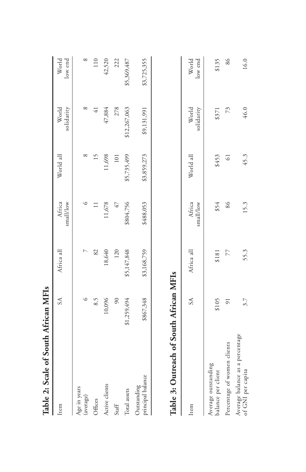| Table 2: Scale of South African MFIs                 |                 |             |                     |                 |                     |                  |
|------------------------------------------------------|-----------------|-------------|---------------------|-----------------|---------------------|------------------|
| ltem                                                 | SA              | Africa all  | small/low<br>Africa | World all       | solidarity<br>World | low end<br>World |
| Age in years<br>(average)                            | $\circ$         |             | ◡                   | $\infty$        | $^{\circ}$          | $^{\circ}$       |
| Offices                                              | 8.5             | 82          |                     | 15              | ⋥                   | 110              |
| Active clients                                       | 10,096          | 18,640      | 11,678              | 11,698          | 47,884              | 42,520           |
| Staff                                                | $\infty$        | 120         | 47                  | 101             | 278                 | 222              |
| Total assets                                         | \$1,259,494     | \$5,147,848 | \$804,756           | \$5,735,499     | \$12,267,063        | \$5,369,487      |
| principal balance<br>Outstanding                     | \$867,348       | \$3,168,759 | \$488,053           | \$3,859,273     | \$9,131,991         | \$3,725,355      |
| Table 3: Outreach of South African MFIs              |                 |             |                     |                 |                     |                  |
| Item                                                 | SA              | Africa all  | Africa<br>small/low | World all       | World<br>solidarity | World<br>low end |
| Average outstanding<br>balance per client            | \$105           | \$181       | \$54                | \$453           | \$371               | \$135            |
| Percentage of women clients                          | $\overline{91}$ | 77          | 86                  | $\overline{61}$ | 73                  | 86               |
| Average balance as a percentage<br>of GNI per capita | 3.7             | 55.3        | 15.3                | 45.3            | 46.0                | 16.0             |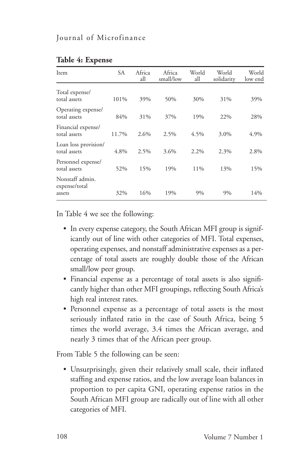| Item                                       | <b>SA</b> | Africa<br>all | Africa<br>small/low | World<br>all | World<br>solidarity | World<br>low end |
|--------------------------------------------|-----------|---------------|---------------------|--------------|---------------------|------------------|
| Total expense/<br>total assets             | 101%      | 39%           | 50%                 | 30%          | 31%                 | 39%              |
| Operating expense/<br>total assets         | 84%       | 31%           | 37%                 | 19%          | 22%                 | 28%              |
| Financial expense/<br>total assets         | 11.7%     | 2.6%          | 2.5%                | 4.5%         | 3.0%                | 4.9%             |
| Loan loss provision/<br>total assets       | 4.8%      | 2.5%          | 3.6%                | 2.2%         | 2.3%                | 2.8%             |
| Personnel expense/<br>total assets         | 52%       | 15%           | 19%                 | 11%          | 13%                 | 15%              |
| Nonstaff admin.<br>expense/total<br>assets | 32%       | 16%           | 19%                 | 9%           | 9%                  | 14%              |

#### **Table 4: Expense**

In Table 4 we see the following:

- In every expense category, the South African MFI group is significantly out of line with other categories of MFI. Total expenses, operating expenses, and nonstaff administrative expenses as a percentage of total assets are roughly double those of the African small/low peer group.
- Financial expense as a percentage of total assets is also significantly higher than other MFI groupings, reflecting South Africa's high real interest rates.
- Personnel expense as a percentage of total assets is the most seriously inflated ratio in the case of South Africa, being 5 times the world average, 3.4 times the African average, and nearly 3 times that of the African peer group.

From Table 5 the following can be seen:

• Unsurprisingly, given their relatively small scale, their inflated staffing and expense ratios, and the low average loan balances in proportion to per capita GNI, operating expense ratios in the South African MFI group are radically out of line with all other categories of MFI.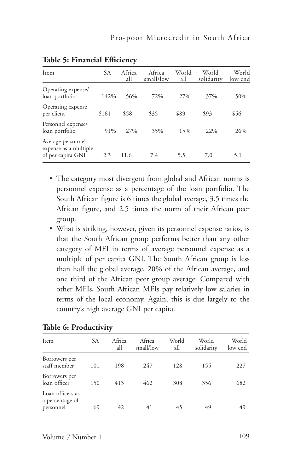| <b>I</b> tem                                                    | SА    | Africa<br>all | Africa<br>small/low | World<br>all | World<br>solidarity | World<br>low end |
|-----------------------------------------------------------------|-------|---------------|---------------------|--------------|---------------------|------------------|
| Operating expense/<br>loan portfolio                            | 142%  | 56%           | 72%                 | 27%          | 37%                 | 50%              |
| Operating expense<br>per client                                 | \$161 | \$58          | \$35                | \$89         | \$93                | \$56             |
| Personnel expense/<br>loan portfolio                            | 91%   | 27%           | 35%                 | 15%          | 22%                 | 26%              |
| Average personnel<br>expense as a multiple<br>of per capita GNI | 2.3   | 11.6          | 7.4                 | 5.5          | 7.0                 | 5.1              |

#### **Table 5: Financial Efficiency**

- The category most divergent from global and African norms is personnel expense as a percentage of the loan portfolio. The South African figure is 6 times the global average, 3.5 times the African figure, and 2.5 times the norm of their African peer group.
- What is striking, however, given its personnel expense ratios, is that the South African group performs better than any other category of MFI in terms of average personnel expense as a multiple of per capita GNI. The South African group is less than half the global average, 20% of the African average, and one third of the African peer group average. Compared with other MFIs, South African MFIs pay relatively low salaries in terms of the local economy. Again, this is due largely to the country's high average GNI per capita.

| Item                                             | SА  | Africa<br>all | Africa<br>small/low | World<br>all | World<br>solidarity | World<br>low end |
|--------------------------------------------------|-----|---------------|---------------------|--------------|---------------------|------------------|
| Borrowers per<br>staff member                    | 101 | 198           | 247                 | 128          | 155                 | 227              |
| Borrowers per<br>loan officer                    | 150 | 413           | 462                 | 308          | 356                 | 682              |
| Loan officers as<br>a percentage of<br>personnel | 69  | 42            | 41                  | 45           | 49                  | 49               |

#### **Table 6: Productivity**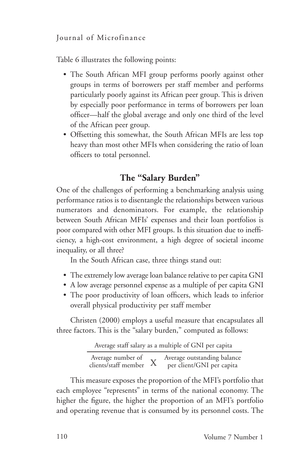Table 6 illustrates the following points:

- The South African MFI group performs poorly against other groups in terms of borrowers per staff member and performs particularly poorly against its African peer group. This is driven by especially poor performance in terms of borrowers per loan officer—half the global average and only one third of the level of the African peer group.
- Offsetting this somewhat, the South African MFIs are less top heavy than most other MFIs when considering the ratio of loan officers to total personnel.

# **The "Salary Burden"**

One of the challenges of performing a benchmarking analysis using performance ratios is to disentangle the relationships between various numerators and denominators. For example, the relationship between South African MFIs' expenses and their loan portfolios is poor compared with other MFI groups. Is this situation due to inefficiency, a high-cost environment, a high degree of societal income inequality, or all three?

In the South African case, three things stand out:

- The extremely low average loan balance relative to per capita GNI
- A low average personnel expense as a multiple of per capita GNI
- The poor productivity of loan officers, which leads to inferior overall physical productivity per staff member

Christen (2000) employs a useful measure that encapsulates all three factors. This is the "salary burden," computed as follows:

|                   | Average staff salary as a multiple of GNI per capita |
|-------------------|------------------------------------------------------|
| Average number of | Ayarago questanding belang                           |

| Average number of    | <b>x</b> z | Average outstanding balance |
|----------------------|------------|-----------------------------|
| clients/staff member |            | per client/GNI per capita   |

This measure exposes the proportion of the MFI's portfolio that each employee "represents" in terms of the national economy. The higher the figure, the higher the proportion of an MFI's portfolio and operating revenue that is consumed by its personnel costs. The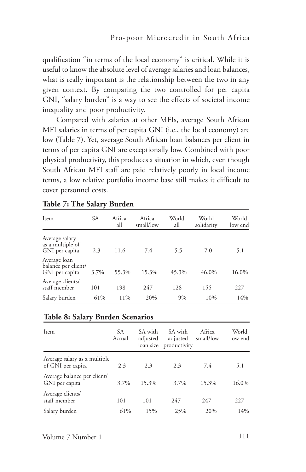qualification "in terms of the local economy" is critical. While it is useful to know the absolute level of average salaries and loan balances, what is really important is the relationship between the two in any given context. By comparing the two controlled for per capita GNI, "salary burden" is a way to see the effects of societal income inequality and poor productivity.

Compared with salaries at other MFIs, average South African MFI salaries in terms of per capita GNI (i.e., the local economy) are low (Table 7). Yet, average South African loan balances per client in terms of per capita GNI are exceptionally low. Combined with poor physical productivity, this produces a situation in which, even though South African MFI staff are paid relatively poorly in local income terms, a low relative portfolio income base still makes it difficult to cover personnel costs.

| Item                                                  | SA   | Africa<br>all | Africa<br>small/low | World<br>all | World<br>solidarity | World<br>low end |
|-------------------------------------------------------|------|---------------|---------------------|--------------|---------------------|------------------|
| Average salary<br>as a multiple of<br>GNI per capita  | 2.3  | 11.6          | 7.4                 | 5.5          | 7.0                 | 5.1              |
| Average loan<br>balance per client/<br>GNI per capita | 3.7% | 55.3%         | 15.3%               | 45.3%        | 46.0%               | 16.0%            |
| Average clients/<br>staff member                      | 101  | 198           | 247                 | 128          | 155                 | 227              |
| Salary burden                                         | 61%  | 11%           | 20%                 | 9%           | 10%                 | 14%              |

#### **Table 7: The Salary Burden**

#### **Table 8: Salary Burden Scenarios**

| Item                                              | SA<br>Actual | SA with<br>adjusted<br>loan size | SA with<br>adjusted<br>productivity | Africa<br>small/low | World<br>low end |
|---------------------------------------------------|--------------|----------------------------------|-------------------------------------|---------------------|------------------|
| Average salary as a multiple<br>of GNI per capita | 2.3          | 2.3                              | 2.3                                 | 7.4                 | 5.1              |
| Average balance per client/<br>GNI per capita     | 3.7%         | 15.3%                            | 3.7%                                | 15.3%               | 16.0%            |
| Average clients/<br>staff member                  | 101          | 101                              | 247                                 | 247                 | 227              |
| Salary burden                                     | 61%          | 15%                              | 25%                                 | 20%                 | 14%              |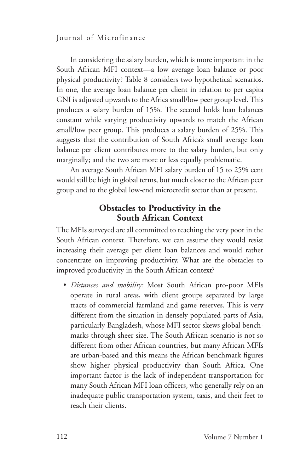In considering the salary burden, which is more important in the South African MFI context—a low average loan balance or poor physical productivity? Table 8 considers two hypothetical scenarios. In one, the average loan balance per client in relation to per capita GNI is adjusted upwards to the Africa small/low peer group level. This produces a salary burden of 15%. The second holds loan balances constant while varying productivity upwards to match the African small/low peer group. This produces a salary burden of 25%. This suggests that the contribution of South Africa's small average loan balance per client contributes more to the salary burden, but only marginally; and the two are more or less equally problematic.

An average South African MFI salary burden of 15 to 25% cent would still be high in global terms, but much closer to the African peer group and to the global low-end microcredit sector than at present.

# **Obstacles to Productivity in the South African Context**

The MFIs surveyed are all committed to reaching the very poor in the South African context. Therefore, we can assume they would resist increasing their average per client loan balances and would rather concentrate on improving productivity. What are the obstacles to improved productivity in the South African context?

• *Distances and mobility:* Most South African pro-poor MFIs operate in rural areas, with client groups separated by large tracts of commercial farmland and game reserves. This is very different from the situation in densely populated parts of Asia, particularly Bangladesh, whose MFI sector skews global benchmarks through sheer size. The South African scenario is not so different from other African countries, but many African MFIs are urban-based and this means the African benchmark figures show higher physical productivity than South Africa. One important factor is the lack of independent transportation for many South African MFI loan officers, who generally rely on an inadequate public transportation system, taxis, and their feet to reach their clients.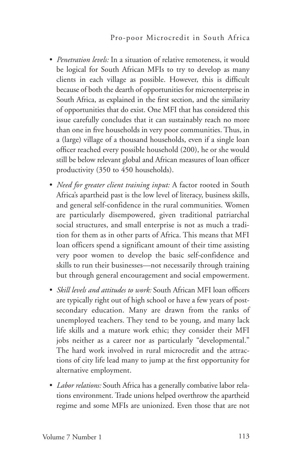- *Penetration levels:* In a situation of relative remoteness, it would be logical for South African MFIs to try to develop as many clients in each village as possible. However, this is difficult because of both the dearth of opportunities for microenterprise in South Africa, as explained in the first section, and the similarity of opportunities that do exist. One MFI that has considered this issue carefully concludes that it can sustainably reach no more than one in five households in very poor communities. Thus, in a (large) village of a thousand households, even if a single loan officer reached every possible household (200), he or she would still be below relevant global and African measures of loan officer productivity (350 to 450 households).
- *Need for greater client training input:* A factor rooted in South Africa's apartheid past is the low level of literacy, business skills, and general self-confidence in the rural communities. Women are particularly disempowered, given traditional patriarchal social structures, and small enterprise is not as much a tradition for them as in other parts of Africa. This means that MFI loan officers spend a significant amount of their time assisting very poor women to develop the basic self-confidence and skills to run their businesses—not necessarily through training but through general encouragement and social empowerment.
- *Skill levels and attitudes to work:* South African MFI loan officers are typically right out of high school or have a few years of postsecondary education. Many are drawn from the ranks of unemployed teachers. They tend to be young, and many lack life skills and a mature work ethic; they consider their MFI jobs neither as a career nor as particularly "developmental." The hard work involved in rural microcredit and the attractions of city life lead many to jump at the first opportunity for alternative employment.
- *Labor relations:* South Africa has a generally combative labor relations environment. Trade unions helped overthrow the apartheid regime and some MFIs are unionized. Even those that are not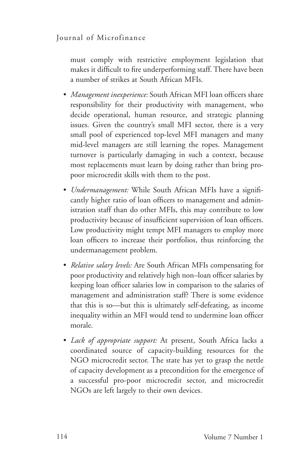must comply with restrictive employment legislation that makes it difficult to fire underperforming staff. There have been a number of strikes at South African MFIs.

- *Management inexperience:* South African MFI loan officers share responsibility for their productivity with management, who decide operational, human resource, and strategic planning issues. Given the country's small MFI sector, there is a very small pool of experienced top-level MFI managers and many mid-level managers are still learning the ropes. Management turnover is particularly damaging in such a context, because most replacements must learn by doing rather than bring propoor microcredit skills with them to the post.
- *Undermanagement:* While South African MFIs have a significantly higher ratio of loan officers to management and administration staff than do other MFIs, this may contribute to low productivity because of insufficient supervision of loan officers. Low productivity might tempt MFI managers to employ more loan officers to increase their portfolios, thus reinforcing the undermanagement problem.
- *Relative salary levels:* Are South African MFIs compensating for poor productivity and relatively high non–loan officer salaries by keeping loan officer salaries low in comparison to the salaries of management and administration staff? There is some evidence that this is so—but this is ultimately self-defeating, as income inequality within an MFI would tend to undermine loan officer morale.
- *Lack of appropriate support:* At present, South Africa lacks a coordinated source of capacity-building resources for the NGO microcredit sector. The state has yet to grasp the nettle of capacity development as a precondition for the emergence of a successful pro-poor microcredit sector, and microcredit NGOs are left largely to their own devices.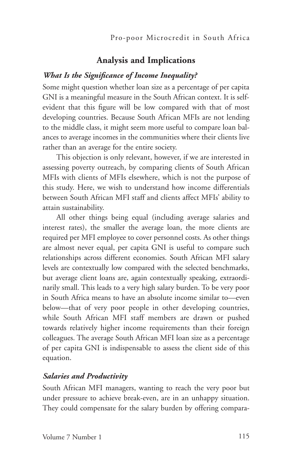# **Analysis and Implications**

# *What Is the Significance of Income Inequality?*

Some might question whether loan size as a percentage of per capita GNI is a meaningful measure in the South African context. It is selfevident that this figure will be low compared with that of most developing countries. Because South African MFIs are not lending to the middle class, it might seem more useful to compare loan balances to average incomes in the communities where their clients live rather than an average for the entire society.

This objection is only relevant, however, if we are interested in assessing poverty outreach, by comparing clients of South African MFIs with clients of MFIs elsewhere, which is not the purpose of this study. Here, we wish to understand how income differentials between South African MFI staff and clients affect MFIs' ability to attain sustainability.

All other things being equal (including average salaries and interest rates), the smaller the average loan, the more clients are required per MFI employee to cover personnel costs. As other things are almost never equal, per capita GNI is useful to compare such relationships across different economies. South African MFI salary levels are contextually low compared with the selected benchmarks, but average client loans are, again contextually speaking, extraordinarily small. This leads to a very high salary burden. To be very poor in South Africa means to have an absolute income similar to—even below—that of very poor people in other developing countries, while South African MFI staff members are drawn or pushed towards relatively higher income requirements than their foreign colleagues. The average South African MFI loan size as a percentage of per capita GNI is indispensable to assess the client side of this equation.

# *Salaries and Productivity*

South African MFI managers, wanting to reach the very poor but under pressure to achieve break-even, are in an unhappy situation. They could compensate for the salary burden by offering compara-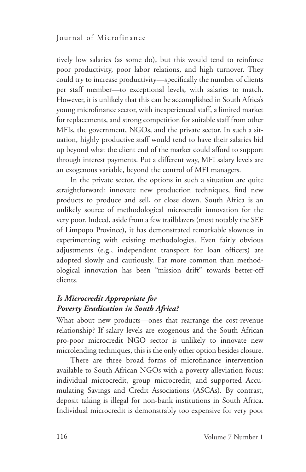tively low salaries (as some do), but this would tend to reinforce poor productivity, poor labor relations, and high turnover. They could try to increase productivity—specifically the number of clients per staff member—to exceptional levels, with salaries to match. However, it is unlikely that this can be accomplished in South Africa's young microfinance sector, with inexperienced staff, a limited market for replacements, and strong competition for suitable staff from other MFIs, the government, NGOs, and the private sector. In such a situation, highly productive staff would tend to have their salaries bid up beyond what the client end of the market could afford to support through interest payments. Put a different way, MFI salary levels are an exogenous variable, beyond the control of MFI managers.

In the private sector, the options in such a situation are quite straightforward: innovate new production techniques, find new products to produce and sell, or close down. South Africa is an unlikely source of methodological microcredit innovation for the very poor. Indeed, aside from a few trailblazers (most notably the SEF of Limpopo Province), it has demonstrated remarkable slowness in experimenting with existing methodologies. Even fairly obvious adjustments (e.g., independent transport for loan officers) are adopted slowly and cautiously. Far more common than methodological innovation has been "mission drift" towards better-off clients.

# *Is Microcredit Appropriate for Poverty Eradication in South Africa?*

What about new products—ones that rearrange the cost-revenue relationship? If salary levels are exogenous and the South African pro-poor microcredit NGO sector is unlikely to innovate new microlending techniques, this is the only other option besides closure.

There are three broad forms of microfinance intervention available to South African NGOs with a poverty-alleviation focus: individual microcredit, group microcredit, and supported Accumulating Savings and Credit Associations (ASCAs). By contrast, deposit taking is illegal for non-bank institutions in South Africa. Individual microcredit is demonstrably too expensive for very poor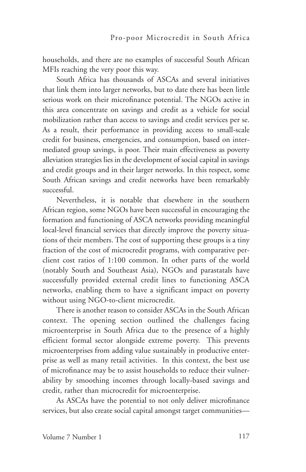households, and there are no examples of successful South African MFIs reaching the very poor this way.

South Africa has thousands of ASCAs and several initiatives that link them into larger networks, but to date there has been little serious work on their microfinance potential. The NGOs active in this area concentrate on savings and credit as a vehicle for social mobilization rather than access to savings and credit services per se. As a result, their performance in providing access to small-scale credit for business, emergencies, and consumption, based on intermediated group savings, is poor. Their main effectiveness as poverty alleviation strategies lies in the development of social capital in savings and credit groups and in their larger networks. In this respect, some South African savings and credit networks have been remarkably successful.

Nevertheless, it is notable that elsewhere in the southern African region, some NGOs have been successful in encouraging the formation and functioning of ASCA networks providing meaningful local-level financial services that directly improve the poverty situations of their members. The cost of supporting these groups is a tiny fraction of the cost of microcredit programs, with comparative perclient cost ratios of 1:100 common. In other parts of the world (notably South and Southeast Asia), NGOs and parastatals have successfully provided external credit lines to functioning ASCA networks, enabling them to have a significant impact on poverty without using NGO-to-client microcredit.

There is another reason to consider ASCAs in the South African context. The opening section outlined the challenges facing microenterprise in South Africa due to the presence of a highly efficient formal sector alongside extreme poverty. This prevents microenterprises from adding value sustainably in productive enterprise as well as many retail activities. In this context, the best use of microfinance may be to assist households to reduce their vulnerability by smoothing incomes through locally-based savings and credit, rather than microcredit for microenterprise.

As ASCAs have the potential to not only deliver microfinance services, but also create social capital amongst target communities—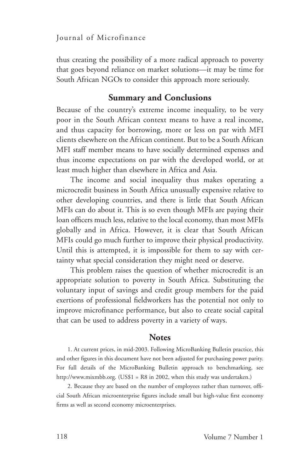thus creating the possibility of a more radical approach to poverty that goes beyond reliance on market solutions—it may be time for South African NGOs to consider this approach more seriously.

### **Summary and Conclusions**

Because of the country's extreme income inequality, to be very poor in the South African context means to have a real income, and thus capacity for borrowing, more or less on par with MFI clients elsewhere on the African continent. But to be a South African MFI staff member means to have socially determined expenses and thus income expectations on par with the developed world, or at least much higher than elsewhere in Africa and Asia.

The income and social inequality thus makes operating a microcredit business in South Africa unusually expensive relative to other developing countries, and there is little that South African MFIs can do about it. This is so even though MFIs are paying their loan officers much less, relative to the local economy, than most MFIs globally and in Africa. However, it is clear that South African MFIs could go much further to improve their physical productivity. Until this is attempted, it is impossible for them to say with certainty what special consideration they might need or deserve.

This problem raises the question of whether microcredit is an appropriate solution to poverty in South Africa. Substituting the voluntary input of savings and credit group members for the paid exertions of professional fieldworkers has the potential not only to improve microfinance performance, but also to create social capital that can be used to address poverty in a variety of ways.

#### **Notes**

1. At current prices, in mid-2003. Following MicroBanking Bulletin practice, this and other figures in this document have not been adjusted for purchasing power parity. For full details of the MicroBanking Bulletin approach to benchmarking, see http://www.mixmbb.org. (US\$1 = R8 in 2002, when this study was undertaken.)

2. Because they are based on the number of employees rather than turnover, official South African microenterprise figures include small but high-value first economy firms as well as second economy microenterprises.